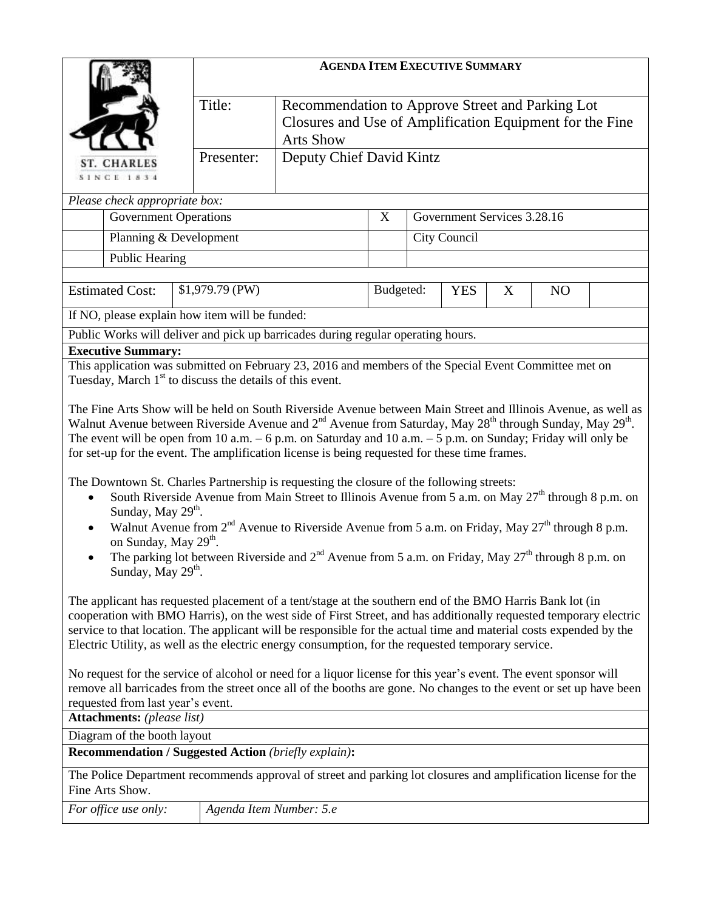| Title:<br>Recommendation to Approve Street and Parking Lot<br>Closures and Use of Amplification Equipment for the Fine<br><b>Arts Show</b><br>Deputy Chief David Kintz<br>Presenter:<br><b>ST. CHARLES</b><br><b>SINCE 1834</b><br>Please check appropriate box:<br>Government Services 3.28.16<br><b>Government Operations</b><br>X<br>Planning & Development<br>City Council<br><b>Public Hearing</b><br><b>Estimated Cost:</b><br>\$1,979.79 (PW)<br>Budgeted:<br><b>YES</b><br>X<br>N <sub>O</sub><br>If NO, please explain how item will be funded:<br>Public Works will deliver and pick up barricades during regular operating hours.<br><b>Executive Summary:</b><br>This application was submitted on February 23, 2016 and members of the Special Event Committee met on<br>Tuesday, March 1 <sup>st</sup> to discuss the details of this event.<br>The Fine Arts Show will be held on South Riverside Avenue between Main Street and Illinois Avenue, as well as<br>Walnut Avenue between Riverside Avenue and $2^{nd}$ Avenue from Saturday, May $28^{th}$ through Sunday, May $29^{th}$ .<br>The event will be open from 10 a.m. $-6$ p.m. on Saturday and 10 a.m. $-5$ p.m. on Sunday; Friday will only be<br>for set-up for the event. The amplification license is being requested for these time frames.<br>The Downtown St. Charles Partnership is requesting the closure of the following streets:<br>South Riverside Avenue from Main Street to Illinois Avenue from 5 a.m. on May $27th$ through 8 p.m. on<br>Sunday, May 29 <sup>th</sup> .<br>Walnut Avenue from $2^{nd}$ Avenue to Riverside Avenue from 5 a.m. on Friday, May $27^{th}$ through 8 p.m.<br>on Sunday, May 29 <sup>th</sup> .<br>The parking lot between Riverside and $2nd$ Avenue from 5 a.m. on Friday, May $27th$ through 8 p.m. on<br>Sunday, May 29 <sup>th</sup> .<br>The applicant has requested placement of a tent/stage at the southern end of the BMO Harris Bank lot (in<br>cooperation with BMO Harris), on the west side of First Street, and has additionally requested temporary electric<br>service to that location. The applicant will be responsible for the actual time and material costs expended by the<br>Electric Utility, as well as the electric energy consumption, for the requested temporary service.<br>No request for the service of alcohol or need for a liquor license for this year's event. The event sponsor will<br>remove all barricades from the street once all of the booths are gone. No changes to the event or set up have been<br>requested from last year's event.<br><b>Attachments:</b> (please list)<br>Diagram of the booth layout<br><b>Recommendation / Suggested Action (briefly explain):</b><br>The Police Department recommends approval of street and parking lot closures and amplification license for the<br>Fine Arts Show.<br>Agenda Item Number: 5.e<br>For office use only: |  |  |  | <b>AGENDA ITEM EXECUTIVE SUMMARY</b> |  |  |  |  |  |  |  |
|-----------------------------------------------------------------------------------------------------------------------------------------------------------------------------------------------------------------------------------------------------------------------------------------------------------------------------------------------------------------------------------------------------------------------------------------------------------------------------------------------------------------------------------------------------------------------------------------------------------------------------------------------------------------------------------------------------------------------------------------------------------------------------------------------------------------------------------------------------------------------------------------------------------------------------------------------------------------------------------------------------------------------------------------------------------------------------------------------------------------------------------------------------------------------------------------------------------------------------------------------------------------------------------------------------------------------------------------------------------------------------------------------------------------------------------------------------------------------------------------------------------------------------------------------------------------------------------------------------------------------------------------------------------------------------------------------------------------------------------------------------------------------------------------------------------------------------------------------------------------------------------------------------------------------------------------------------------------------------------------------------------------------------------------------------------------------------------------------------------------------------------------------------------------------------------------------------------------------------------------------------------------------------------------------------------------------------------------------------------------------------------------------------------------------------------------------------------------------------------------------------------------------------------------------------------------------------------------------------------------------------------------------------------------------------------------------------------------------------------------------------------------------------------------------------------------------------------------------------------------------------------------------------------------------------------------|--|--|--|--------------------------------------|--|--|--|--|--|--|--|
|                                                                                                                                                                                                                                                                                                                                                                                                                                                                                                                                                                                                                                                                                                                                                                                                                                                                                                                                                                                                                                                                                                                                                                                                                                                                                                                                                                                                                                                                                                                                                                                                                                                                                                                                                                                                                                                                                                                                                                                                                                                                                                                                                                                                                                                                                                                                                                                                                                                                                                                                                                                                                                                                                                                                                                                                                                                                                                                                         |  |  |  |                                      |  |  |  |  |  |  |  |
|                                                                                                                                                                                                                                                                                                                                                                                                                                                                                                                                                                                                                                                                                                                                                                                                                                                                                                                                                                                                                                                                                                                                                                                                                                                                                                                                                                                                                                                                                                                                                                                                                                                                                                                                                                                                                                                                                                                                                                                                                                                                                                                                                                                                                                                                                                                                                                                                                                                                                                                                                                                                                                                                                                                                                                                                                                                                                                                                         |  |  |  |                                      |  |  |  |  |  |  |  |
|                                                                                                                                                                                                                                                                                                                                                                                                                                                                                                                                                                                                                                                                                                                                                                                                                                                                                                                                                                                                                                                                                                                                                                                                                                                                                                                                                                                                                                                                                                                                                                                                                                                                                                                                                                                                                                                                                                                                                                                                                                                                                                                                                                                                                                                                                                                                                                                                                                                                                                                                                                                                                                                                                                                                                                                                                                                                                                                                         |  |  |  |                                      |  |  |  |  |  |  |  |
|                                                                                                                                                                                                                                                                                                                                                                                                                                                                                                                                                                                                                                                                                                                                                                                                                                                                                                                                                                                                                                                                                                                                                                                                                                                                                                                                                                                                                                                                                                                                                                                                                                                                                                                                                                                                                                                                                                                                                                                                                                                                                                                                                                                                                                                                                                                                                                                                                                                                                                                                                                                                                                                                                                                                                                                                                                                                                                                                         |  |  |  |                                      |  |  |  |  |  |  |  |
|                                                                                                                                                                                                                                                                                                                                                                                                                                                                                                                                                                                                                                                                                                                                                                                                                                                                                                                                                                                                                                                                                                                                                                                                                                                                                                                                                                                                                                                                                                                                                                                                                                                                                                                                                                                                                                                                                                                                                                                                                                                                                                                                                                                                                                                                                                                                                                                                                                                                                                                                                                                                                                                                                                                                                                                                                                                                                                                                         |  |  |  |                                      |  |  |  |  |  |  |  |
|                                                                                                                                                                                                                                                                                                                                                                                                                                                                                                                                                                                                                                                                                                                                                                                                                                                                                                                                                                                                                                                                                                                                                                                                                                                                                                                                                                                                                                                                                                                                                                                                                                                                                                                                                                                                                                                                                                                                                                                                                                                                                                                                                                                                                                                                                                                                                                                                                                                                                                                                                                                                                                                                                                                                                                                                                                                                                                                                         |  |  |  |                                      |  |  |  |  |  |  |  |
|                                                                                                                                                                                                                                                                                                                                                                                                                                                                                                                                                                                                                                                                                                                                                                                                                                                                                                                                                                                                                                                                                                                                                                                                                                                                                                                                                                                                                                                                                                                                                                                                                                                                                                                                                                                                                                                                                                                                                                                                                                                                                                                                                                                                                                                                                                                                                                                                                                                                                                                                                                                                                                                                                                                                                                                                                                                                                                                                         |  |  |  |                                      |  |  |  |  |  |  |  |
|                                                                                                                                                                                                                                                                                                                                                                                                                                                                                                                                                                                                                                                                                                                                                                                                                                                                                                                                                                                                                                                                                                                                                                                                                                                                                                                                                                                                                                                                                                                                                                                                                                                                                                                                                                                                                                                                                                                                                                                                                                                                                                                                                                                                                                                                                                                                                                                                                                                                                                                                                                                                                                                                                                                                                                                                                                                                                                                                         |  |  |  |                                      |  |  |  |  |  |  |  |
|                                                                                                                                                                                                                                                                                                                                                                                                                                                                                                                                                                                                                                                                                                                                                                                                                                                                                                                                                                                                                                                                                                                                                                                                                                                                                                                                                                                                                                                                                                                                                                                                                                                                                                                                                                                                                                                                                                                                                                                                                                                                                                                                                                                                                                                                                                                                                                                                                                                                                                                                                                                                                                                                                                                                                                                                                                                                                                                                         |  |  |  |                                      |  |  |  |  |  |  |  |
|                                                                                                                                                                                                                                                                                                                                                                                                                                                                                                                                                                                                                                                                                                                                                                                                                                                                                                                                                                                                                                                                                                                                                                                                                                                                                                                                                                                                                                                                                                                                                                                                                                                                                                                                                                                                                                                                                                                                                                                                                                                                                                                                                                                                                                                                                                                                                                                                                                                                                                                                                                                                                                                                                                                                                                                                                                                                                                                                         |  |  |  |                                      |  |  |  |  |  |  |  |
|                                                                                                                                                                                                                                                                                                                                                                                                                                                                                                                                                                                                                                                                                                                                                                                                                                                                                                                                                                                                                                                                                                                                                                                                                                                                                                                                                                                                                                                                                                                                                                                                                                                                                                                                                                                                                                                                                                                                                                                                                                                                                                                                                                                                                                                                                                                                                                                                                                                                                                                                                                                                                                                                                                                                                                                                                                                                                                                                         |  |  |  |                                      |  |  |  |  |  |  |  |
|                                                                                                                                                                                                                                                                                                                                                                                                                                                                                                                                                                                                                                                                                                                                                                                                                                                                                                                                                                                                                                                                                                                                                                                                                                                                                                                                                                                                                                                                                                                                                                                                                                                                                                                                                                                                                                                                                                                                                                                                                                                                                                                                                                                                                                                                                                                                                                                                                                                                                                                                                                                                                                                                                                                                                                                                                                                                                                                                         |  |  |  |                                      |  |  |  |  |  |  |  |
|                                                                                                                                                                                                                                                                                                                                                                                                                                                                                                                                                                                                                                                                                                                                                                                                                                                                                                                                                                                                                                                                                                                                                                                                                                                                                                                                                                                                                                                                                                                                                                                                                                                                                                                                                                                                                                                                                                                                                                                                                                                                                                                                                                                                                                                                                                                                                                                                                                                                                                                                                                                                                                                                                                                                                                                                                                                                                                                                         |  |  |  |                                      |  |  |  |  |  |  |  |
|                                                                                                                                                                                                                                                                                                                                                                                                                                                                                                                                                                                                                                                                                                                                                                                                                                                                                                                                                                                                                                                                                                                                                                                                                                                                                                                                                                                                                                                                                                                                                                                                                                                                                                                                                                                                                                                                                                                                                                                                                                                                                                                                                                                                                                                                                                                                                                                                                                                                                                                                                                                                                                                                                                                                                                                                                                                                                                                                         |  |  |  |                                      |  |  |  |  |  |  |  |
|                                                                                                                                                                                                                                                                                                                                                                                                                                                                                                                                                                                                                                                                                                                                                                                                                                                                                                                                                                                                                                                                                                                                                                                                                                                                                                                                                                                                                                                                                                                                                                                                                                                                                                                                                                                                                                                                                                                                                                                                                                                                                                                                                                                                                                                                                                                                                                                                                                                                                                                                                                                                                                                                                                                                                                                                                                                                                                                                         |  |  |  |                                      |  |  |  |  |  |  |  |
|                                                                                                                                                                                                                                                                                                                                                                                                                                                                                                                                                                                                                                                                                                                                                                                                                                                                                                                                                                                                                                                                                                                                                                                                                                                                                                                                                                                                                                                                                                                                                                                                                                                                                                                                                                                                                                                                                                                                                                                                                                                                                                                                                                                                                                                                                                                                                                                                                                                                                                                                                                                                                                                                                                                                                                                                                                                                                                                                         |  |  |  |                                      |  |  |  |  |  |  |  |
|                                                                                                                                                                                                                                                                                                                                                                                                                                                                                                                                                                                                                                                                                                                                                                                                                                                                                                                                                                                                                                                                                                                                                                                                                                                                                                                                                                                                                                                                                                                                                                                                                                                                                                                                                                                                                                                                                                                                                                                                                                                                                                                                                                                                                                                                                                                                                                                                                                                                                                                                                                                                                                                                                                                                                                                                                                                                                                                                         |  |  |  |                                      |  |  |  |  |  |  |  |
|                                                                                                                                                                                                                                                                                                                                                                                                                                                                                                                                                                                                                                                                                                                                                                                                                                                                                                                                                                                                                                                                                                                                                                                                                                                                                                                                                                                                                                                                                                                                                                                                                                                                                                                                                                                                                                                                                                                                                                                                                                                                                                                                                                                                                                                                                                                                                                                                                                                                                                                                                                                                                                                                                                                                                                                                                                                                                                                                         |  |  |  |                                      |  |  |  |  |  |  |  |
|                                                                                                                                                                                                                                                                                                                                                                                                                                                                                                                                                                                                                                                                                                                                                                                                                                                                                                                                                                                                                                                                                                                                                                                                                                                                                                                                                                                                                                                                                                                                                                                                                                                                                                                                                                                                                                                                                                                                                                                                                                                                                                                                                                                                                                                                                                                                                                                                                                                                                                                                                                                                                                                                                                                                                                                                                                                                                                                                         |  |  |  |                                      |  |  |  |  |  |  |  |
|                                                                                                                                                                                                                                                                                                                                                                                                                                                                                                                                                                                                                                                                                                                                                                                                                                                                                                                                                                                                                                                                                                                                                                                                                                                                                                                                                                                                                                                                                                                                                                                                                                                                                                                                                                                                                                                                                                                                                                                                                                                                                                                                                                                                                                                                                                                                                                                                                                                                                                                                                                                                                                                                                                                                                                                                                                                                                                                                         |  |  |  |                                      |  |  |  |  |  |  |  |
|                                                                                                                                                                                                                                                                                                                                                                                                                                                                                                                                                                                                                                                                                                                                                                                                                                                                                                                                                                                                                                                                                                                                                                                                                                                                                                                                                                                                                                                                                                                                                                                                                                                                                                                                                                                                                                                                                                                                                                                                                                                                                                                                                                                                                                                                                                                                                                                                                                                                                                                                                                                                                                                                                                                                                                                                                                                                                                                                         |  |  |  |                                      |  |  |  |  |  |  |  |